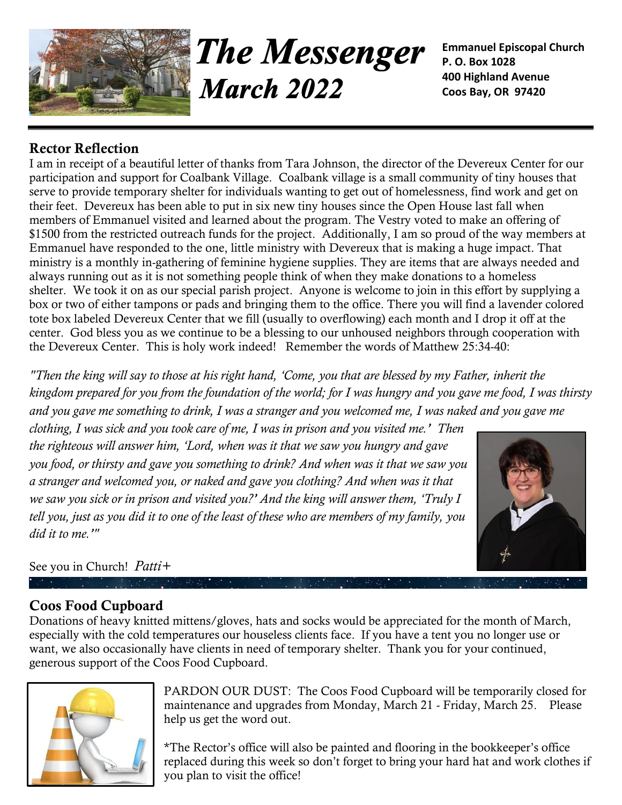

**The Messenger March 2022** 

**Emmanuel Episcopal Church P. O. Box 1028 400 Highland Avenue Coos Bay, OR 97420**

### **Rector Reflection**

I am in receipt of a beautiful letter of thanks from Tara Johnson, the director of the Devereux Center for our participation and support for Coalbank Village. Coalbank village is a small community of tiny houses that serve to provide temporary shelter for individuals wanting to get out of homelessness, find work and get on their feet. Devereux has been able to put in six new tiny houses since the Open House last fall when members of Emmanuel visited and learned about the program. The Vestry voted to make an offering of \$1500 from the restricted outreach funds for the project. Additionally, I am so proud of the way members at Emmanuel have responded to the one, little ministry with Devereux that is making a huge impact. That ministry is a monthly in-gathering of feminine hygiene supplies. They are items that are always needed and always running out as it is not something people think of when they make donations to a homeless shelter. We took it on as our special parish project. Anyone is welcome to join in this effort by supplying a box or two of either tampons or pads and bringing them to the office. There you will find a lavender colored tote box labeled Devereux Center that we fill (usually to overflowing) each month and I drop it off at the center. God bless you as we continue to be a blessing to our unhoused neighbors through cooperation with the Devereux Center. This is holy work indeed! Remember the words of Matthew 25:34-40:

*"Then the king will say to those at his right hand, 'Come, you that are blessed by my Father, inherit the kingdom prepared for you from the foundation of the world; for I was hungry and you gave me food, I was thirsty and you gave me something to drink, I was a stranger and you welcomed me, I was naked and you gave me* 

*clothing, I was sick and you took care of me, I was in prison and you visited me.' Then the righteous will answer him, 'Lord, when was it that we saw you hungry and gave you food, or thirsty and gave you something to drink? And when was it that we saw you a stranger and welcomed you, or naked and gave you clothing? And when was it that we saw you sick or in prison and visited you?' And the king will answer them, 'Truly I tell you, just as you did it to one of the least of these who are members of my family, you did it to me.'"*



See you in Church! *Patti+*

## **Coos Food Cupboard**

Donations of heavy knitted mittens/gloves, hats and socks would be appreciated for the month of March, especially with the cold temperatures our houseless clients face. If you have a tent you no longer use or want, we also occasionally have clients in need of temporary shelter. Thank you for your continued, generous support of the Coos Food Cupboard.



PARDON OUR DUST:The Coos Food Cupboard will be temporarily closed for maintenance and upgrades from Monday, March 21 - Friday, March 25. Please help us get the word out.

\*The Rector's office will also be painted and flooring in the bookkeeper's office replaced during this week so don't forget to bring your hard hat and work clothes if you plan to visit the office!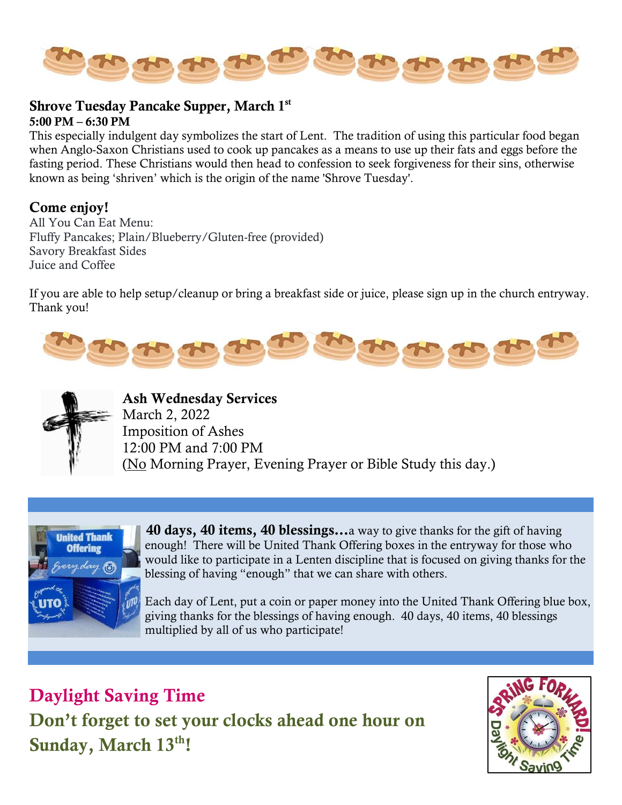

#### **Shrove Tuesday Pancake Supper, March 1st**

#### **5:00 PM – 6:30 PM**

This especially indulgent day symbolizes the start of Lent. The tradition of using this particular food began when Anglo-Saxon Christians used to cook up pancakes as a means to use up their fats and eggs before the fasting period. These Christians would then head to confession to seek forgiveness for their sins, otherwise known as being 'shriven' which is the origin of the name 'Shrove Tuesday'.

#### **Come enjoy!**

All You Can Eat Menu: Fluffy Pancakes; Plain/Blueberry/Gluten-free (provided) Savory Breakfast Sides Juice and Coffee

If you are able to help setup/cleanup or bring a breakfast side or juice, please sign up in the church entryway. Thank you!





**Ash Wednesday Services** March 2, 2022 Imposition of Ashes 12:00 PM and 7:00 PM (No Morning Prayer, Evening Prayer or Bible Study this day.)



 **40 days, 40 items, 40 blessings…**a way to give thanks for the gift of having enough! There will be United Thank Offering boxes in the entryway for those who would like to participate in a Lenten discipline that is focused on giving thanks for the blessing of having "enough" that we can share with others.

 Each day of Lent, put a coin or paper money into the United Thank Offering blue box, giving thanks for the blessings of having enough. 40 days, 40 items, 40 blessings multiplied by all of us who participate!

**Daylight Saving Time Don't forget to set your clocks ahead one hour on Sunday, March 13th!**

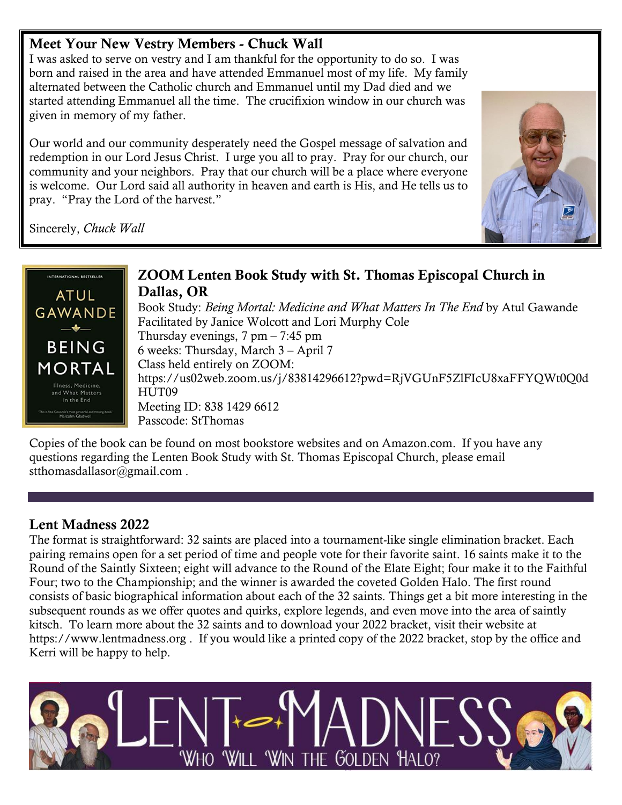## **Meet Your New Vestry Members - Chuck Wall**

I was asked to serve on vestry and I am thankful for the opportunity to do so. I was born and raised in the area and have attended Emmanuel most of my life. My family alternated between the Catholic church and Emmanuel until my Dad died and we started attending Emmanuel all the time. The crucifixion window in our church was given in memory of my father.

Our world and our community desperately need the Gospel message of salvation and redemption in our Lord Jesus Christ. I urge you all to pray. Pray for our church, our community and your neighbors. Pray that our church will be a place where everyone is welcome. Our Lord said all authority in heaven and earth is His, and He tells us to pray. "Pray the Lord of the harvest."







Copies of the book can be found on most bookstore websites and on Amazon.com. If you have any questions regarding the Lenten Book Study with St. Thomas Episcopal Church, please email [stthomasdallasor@gmail.com](mailto:stthomasdallasor@gmail.com) .

## **Lent Madness 2022**

The format is straightforward: 32 saints are placed into a tournament-like single elimination bracket. Each pairing remains open for a set period of time and people vote for their favorite saint. 16 saints make it to the Round of the Saintly Sixteen; eight will advance to the Round of the Elate Eight; four make it to the Faithful Four; two to the Championship; and the winner is awarded the coveted Golden Halo. The first round consists of basic biographical information about each of the 32 saints. Things get a bit more interesting in the subsequent rounds as we offer quotes and quirks, explore legends, and even move into the area of saintly kitsch. To learn more about the 32 saints and to download your 2022 bracket, visit their website at [https://www.lentmadness.org](https://www.lentmadness.org/) . If you would like a printed copy of the 2022 bracket, stop by the office and Kerri will be happy to help.